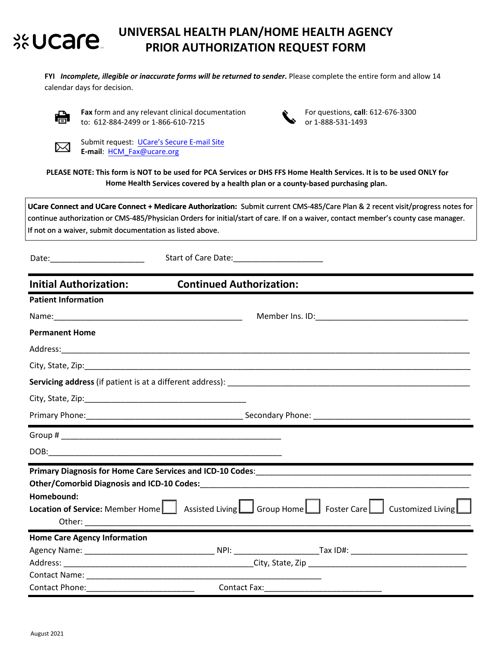#### **UNIVERSAL HEALTH PLAN/HOME HEALTH AGENCY**  %UCare **PRIOR AUTHORIZATION REQUEST FORM**

FYI *Incomplete, illegible or inaccurate forms will be returned to sender. Please complete the entire form and allow 14* calendar days for decision.



**Fax** form and any relevant clinical documentation to: 612‐884‐2499 or 1‐866‐610‐7215



For questions, **call**: 612‐676‐3300 or 1‐888‐531‐1493



Submit request: [UCare's Secure E-mail](https://web1.zixmail.net/s/e?b=ucare_minnesota&) Site **E-mail**: HCM\_Fax@ucare.org

**PLEASE NOTE: This form is NOT to be used for PCA Services or DHS FFS Home Health Services. It is to be used ONLY for Home Health Services covered by a health plan or a county-based purchasing plan.** 

**UCare Connect and UCare Connect + Medicare Authorization:** Submit current CMS-485/Care Plan & 2 recent visit/progress notes for continue authorization or CMS-485/Physician Orders for initial/start of care. If on a waiver, contact member's county case manager. If not on a waiver, submit documentation as listed above.

| Date: | <b>Start of Care Date:</b> |
|-------|----------------------------|
|-------|----------------------------|

| <b>Initial Authorization:</b>       | <b>Continued Authorization:</b> |                                                                                                                                     |
|-------------------------------------|---------------------------------|-------------------------------------------------------------------------------------------------------------------------------------|
| <b>Patient Information</b>          |                                 |                                                                                                                                     |
|                                     |                                 |                                                                                                                                     |
| <b>Permanent Home</b>               |                                 |                                                                                                                                     |
|                                     |                                 |                                                                                                                                     |
|                                     |                                 |                                                                                                                                     |
|                                     |                                 |                                                                                                                                     |
|                                     |                                 |                                                                                                                                     |
|                                     |                                 |                                                                                                                                     |
|                                     |                                 |                                                                                                                                     |
|                                     |                                 |                                                                                                                                     |
|                                     |                                 |                                                                                                                                     |
|                                     |                                 |                                                                                                                                     |
| Homebound:                          |                                 | <b>Location of Service:</b> Member Home $\Box$ Assisted Living $\Box$ Group Home $\Box$ Foster Care $\Box$ Customized Living $\Box$ |
|                                     |                                 |                                                                                                                                     |
| <b>Home Care Agency Information</b> |                                 |                                                                                                                                     |
|                                     |                                 |                                                                                                                                     |
|                                     |                                 |                                                                                                                                     |
|                                     |                                 |                                                                                                                                     |